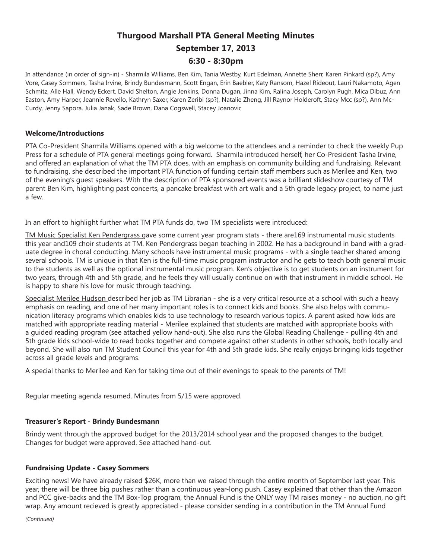# **Thurgood Marshall PTA General Meeting Minutes September 17, 2013 6:30 - 8:30pm**

In attendance (in order of sign-in) - Sharmila Williams, Ben Kim, Tania Westby, Kurt Edelman, Annette Sherr, Karen Pinkard (sp?), Amy Vore, Casey Sommers, Tasha Irvine, Brindy Bundesmann, Scott Engan, Erin Baebler, Katy Ransom, Hazel Rideout, Lauri Nakamoto, Agen Schmitz, Alle Hall, Wendy Eckert, David Shelton, Angie Jenkins, Donna Dugan, Jinna Kim, Ralina Joseph, Carolyn Pugh, Mica Dibuz, Ann Easton, Amy Harper, Jeannie Revello, Kathryn Saxer, Karen Zeribi (sp?), Natalie Zheng, Jill Raynor Holderoft, Stacy Mcc (sp?), Ann Mc-Curdy, Jenny Sapora, Julia Janak, Sade Brown, Dana Cogswell, Stacey Joanovic

# **Welcome/Introductions**

PTA Co-President Sharmila Williams opened with a big welcome to the attendees and a reminder to check the weekly Pup Press for a schedule of PTA general meetings going forward. Sharmila introduced herself, her Co-President Tasha Irvine, and offered an explanation of what the TM PTA does, with an emphasis on community building and fundraising. Relevant to fundraising, she described the important PTA function of funding certain staff members such as Merilee and Ken, two of the evening's guest speakers. With the description of PTA sponsored events was a brilliant slideshow courtesy of TM parent Ben Kim, highlighting past concerts, a pancake breakfast with art walk and a 5th grade legacy project, to name just a few.

In an effort to highlight further what TM PTA funds do, two TM specialists were introduced:

TM Music Specialist Ken Pendergrass gave some current year program stats - there are169 instrumental music students this year and109 choir students at TM. Ken Pendergrass began teaching in 2002. He has a background in band with a graduate degree in choral conducting. Many schools have instrumental music programs - with a single teacher shared among several schools. TM is unique in that Ken is the full-time music program instructor and he gets to teach both general music to the students as well as the optional instrumental music program. Ken's objective is to get students on an instrument for two years, through 4th and 5th grade, and he feels they will usually continue on with that instrument in middle school. He is happy to share his love for music through teaching.

Specialist Merilee Hudson described her job as TM Librarian - she is a very critical resource at a school with such a heavy emphasis on reading, and one of her many important roles is to connect kids and books. She also helps with communication literacy programs which enables kids to use technology to research various topics. A parent asked how kids are matched with appropriate reading material - Merilee explained that students are matched with appropriate books with a guided reading program (see attached yellow hand-out). She also runs the Global Reading Challenge - pulling 4th and 5th grade kids school-wide to read books together and compete against other students in other schools, both locally and beyond. She will also run TM Student Council this year for 4th and 5th grade kids. She really enjoys bringing kids together across all grade levels and programs.

A special thanks to Merilee and Ken for taking time out of their evenings to speak to the parents of TM!

Regular meeting agenda resumed. Minutes from 5/15 were approved.

# **Treasurer's Report - Brindy Bundesmann**

Brindy went through the approved budget for the 2013/2014 school year and the proposed changes to the budget. Changes for budget were approved. See attached hand-out.

# **Fundraising Update - Casey Sommers**

Exciting news! We have already raised \$26K, more than we raised through the entire month of September last year. This year, there will be three big pushes rather than a continuous year-long push. Casey explained that other than the Amazon and PCC give-backs and the TM Box-Top program, the Annual Fund is the ONLY way TM raises money - no auction, no gift wrap. Any amount recieved is greatly appreciated - please consider sending in a contribution in the TM Annual Fund